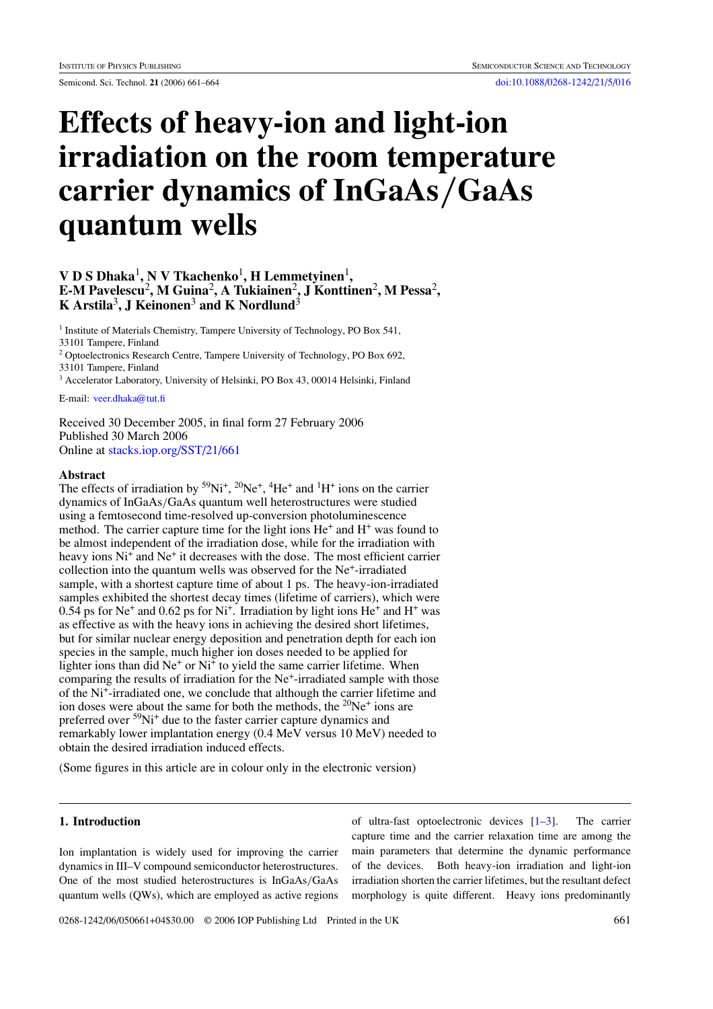# **Effects of heavy-ion and light-ion irradiation on the room temperature carrier dynamics of InGaAs***/***GaAs quantum wells**

## **V D S Dhaka<sup>1</sup>, N V Tkachenko<sup>1</sup>, <b>H** Lemmetyinen<sup>1</sup>, **E-M Pavelescu**2**, M Guina**2**, A Tukiainen**2**, J Konttinen**2**, M Pessa**2**, K Arstila**3**, J Keinonen**<sup>3</sup> **and K Nordlund**<sup>3</sup>

<sup>1</sup> Institute of Materials Chemistry, Tampere University of Technology, PO Box 541, 33101 Tampere, Finland

<sup>2</sup> Optoelectronics Research Centre, Tampere University of Technology, PO Box 692, 33101 Tampere, Finland

<sup>3</sup> Accelerator Laboratory, University of Helsinki, PO Box 43, 00014 Helsinki, Finland

E-mail: [veer.dhaka@tut.fi](mailto:veer.dhaka@tut.fi)

Received 30 December 2005, in final form 27 February 2006 Published 30 March 2006 Online at [stacks.iop.org/SST/21/661](http://stacks.iop.org/SST/21/661)

#### **Abstract**

The effects of irradiation by  $5^9$ Ni<sup>+</sup>,  $2^0$ Ne<sup>+</sup>,  $4^4$ He<sup>+</sup> and  $1^1$ H<sup>+</sup> ions on the carrier dynamics of InGaAs*/*GaAs quantum well heterostructures were studied using a femtosecond time-resolved up-conversion photoluminescence method. The carrier capture time for the light ions  $He<sup>+</sup>$  and  $H<sup>+</sup>$  was found to be almost independent of the irradiation dose, while for the irradiation with heavy ions Ni<sup>+</sup> and Ne<sup>+</sup> it decreases with the dose. The most efficient carrier collection into the quantum wells was observed for the Ne+-irradiated sample, with a shortest capture time of about 1 ps. The heavy-ion-irradiated samples exhibited the shortest decay times (lifetime of carriers), which were  $0.54$  ps for Ne<sup>+</sup> and  $0.62$  ps for Ni<sup>+</sup>. Irradiation by light ions He<sup>+</sup> and H<sup>+</sup> was as effective as with the heavy ions in achieving the desired short lifetimes, but for similar nuclear energy deposition and penetration depth for each ion species in the sample, much higher ion doses needed to be applied for lighter ions than did  $Ne^+$  or  $Ni^+$  to yield the same carrier lifetime. When comparing the results of irradiation for the Ne<sup>+</sup>-irradiated sample with those of the Ni+-irradiated one, we conclude that although the carrier lifetime and ion doses were about the same for both the methods, the  $20Ne^+$  ions are preferred over 59Ni+ due to the faster carrier capture dynamics and remarkably lower implantation energy (0.4 MeV versus 10 MeV) needed to obtain the desired irradiation induced effects.

(Some figures in this article are in colour only in the electronic version)

## **1. Introduction**

Ion implantation is widely used for improving the carrier dynamics in III–V compound semiconductor heterostructures. One of the most studied heterostructures is InGaAs*/*GaAs quantum wells (QWs), which are employed as active regions

of ultra-fast optoelectronic devices [\[1–3](#page-3-0)]. The carrier capture time and the carrier relaxation time are among the main parameters that determine the dynamic performance of the devices. Both heavy-ion irradiation and light-ion irradiation shorten the carrier lifetimes, but the resultant defect morphology is quite different. Heavy ions predominantly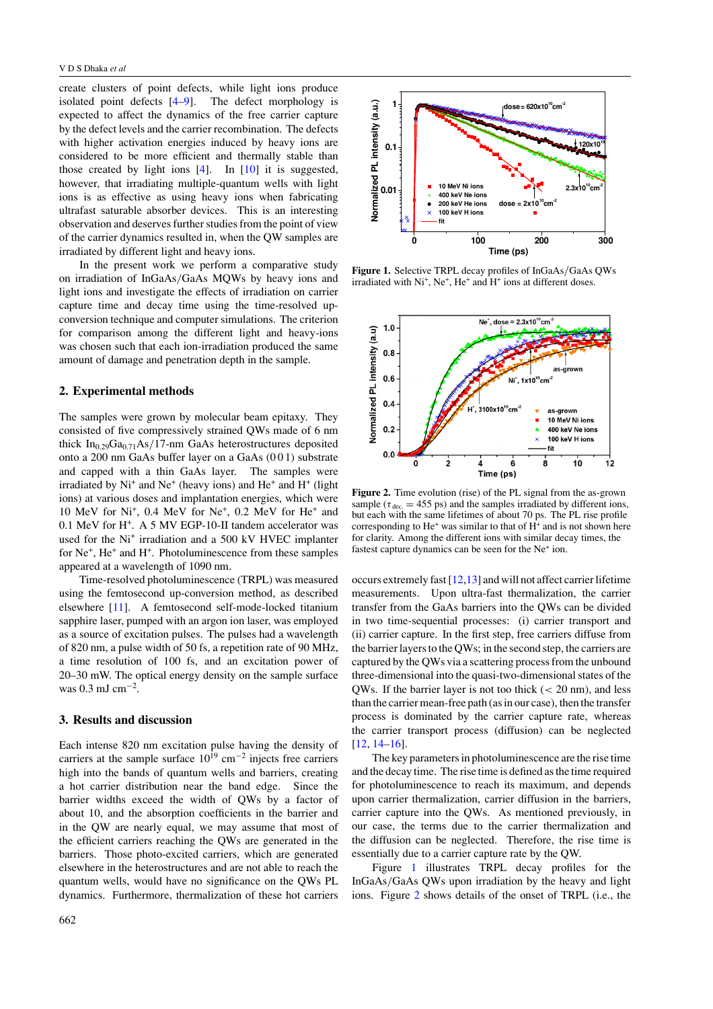<span id="page-1-0"></span>create clusters of point defects, while light ions produce isolated point defects [\[4–9](#page-3-0)]. The defect morphology is expected to affect the dynamics of the free carrier capture by the defect levels and the carrier recombination. The defects with higher activation energies induced by heavy ions are considered to be more efficient and thermally stable than those created by light ions [\[4](#page-3-0)]. In [\[10](#page-3-0)] it is suggested, however, that irradiating multiple-quantum wells with light ions is as effective as using heavy ions when fabricating ultrafast saturable absorber devices. This is an interesting observation and deserves further studies from the point of view of the carrier dynamics resulted in, when the QW samples are irradiated by different light and heavy ions.

In the present work we perform a comparative study on irradiation of InGaAs*/*GaAs MQWs by heavy ions and light ions and investigate the effects of irradiation on carrier capture time and decay time using the time-resolved upconversion technique and computer simulations. The criterion for comparison among the different light and heavy-ions was chosen such that each ion-irradiation produced the same amount of damage and penetration depth in the sample.

#### **2. Experimental methods**

The samples were grown by molecular beam epitaxy. They consisted of five compressively strained QWs made of 6 nm thick In0.29Ga0.71As*/*17-nm GaAs heterostructures deposited onto a 200 nm GaAs buffer layer on a GaAs (0 0 1) substrate and capped with a thin GaAs layer. The samples were irradiated by  $Ni<sup>+</sup>$  and  $Ne<sup>+</sup>$  (heavy ions) and  $He<sup>+</sup>$  and  $H<sup>+</sup>$  (light ions) at various doses and implantation energies, which were 10 MeV for Ni+, 0.4 MeV for Ne+, 0.2 MeV for He+ and 0.1 MeV for H+. A 5 MV EGP-10-II tandem accelerator was used for the Ni<sup>+</sup> irradiation and a 500 kV HVEC implanter for Ne<sup>+</sup>, He<sup>+</sup> and H<sup>+</sup>. Photoluminescence from these samples appeared at a wavelength of 1090 nm.

Time-resolved photoluminescence (TRPL) was measured using the femtosecond up-conversion method, as described elsewhere [\[11\]](#page-3-0). A femtosecond self-mode-locked titanium sapphire laser, pumped with an argon ion laser, was employed as a source of excitation pulses. The pulses had a wavelength of 820 nm, a pulse width of 50 fs, a repetition rate of 90 MHz, a time resolution of 100 fs, and an excitation power of 20–30 mW. The optical energy density on the sample surface was 0.3 mJ cm−<sup>2</sup> .

### **3. Results and discussion**

Each intense 820 nm excitation pulse having the density of carriers at the sample surface  $10^{19}$  cm<sup>-2</sup> injects free carriers high into the bands of quantum wells and barriers, creating a hot carrier distribution near the band edge. Since the barrier widths exceed the width of QWs by a factor of about 10, and the absorption coefficients in the barrier and in the QW are nearly equal, we may assume that most of the efficient carriers reaching the QWs are generated in the barriers. Those photo-excited carriers, which are generated elsewhere in the heterostructures and are not able to reach the quantum wells, would have no significance on the QWs PL dynamics. Furthermore, thermalization of these hot carriers



**Figure 1.** Selective TRPL decay profiles of InGaAs*/*GaAs QWs irradiated with Ni<sup>+</sup>, Ne<sup>+</sup>, He<sup>+</sup> and H<sup>+</sup> ions at different doses.



**Figure 2.** Time evolution (rise) of the PL signal from the as-grown sample ( $\tau_{\text{dec}}$  = 455 ps) and the samples irradiated by different ions, but each with the same lifetimes of about 70 ps. The PL rise profile corresponding to  $He<sup>+</sup>$  was similar to that of  $H<sup>+</sup>$  and is not shown here for clarity. Among the different ions with similar decay times, the fastest capture dynamics can be seen for the Ne<sup>+</sup> ion.

occurs extremely fast  $[12,13]$  and will not affect carrier lifetime measurements. Upon ultra-fast thermalization, the carrier transfer from the GaAs barriers into the QWs can be divided in two time-sequential processes: (i) carrier transport and (ii) carrier capture. In the first step, free carriers diffuse from the barrier layers to the QWs; in the second step, the carriers are captured by the QWs via a scattering process from the unbound three-dimensional into the quasi-two-dimensional states of the QWs. If the barrier layer is not too thick (*<* 20 nm), and less than the carrier mean-free path (as in our case), then the transfer process is dominated by the carrier capture rate, whereas the carrier transport process (diffusion) can be neglected [\[12](#page-3-0), [14–16\]](#page-3-0).

The key parameters in photoluminescence are the rise time and the decay time. The rise time is defined as the time required for photoluminescence to reach its maximum, and depends upon carrier thermalization, carrier diffusion in the barriers, carrier capture into the QWs. As mentioned previously, in our case, the terms due to the carrier thermalization and the diffusion can be neglected. Therefore, the rise time is essentially due to a carrier capture rate by the QW.

Figure 1 illustrates TRPL decay profiles for the InGaAs*/*GaAs QWs upon irradiation by the heavy and light ions. Figure 2 shows details of the onset of TRPL (i.e., the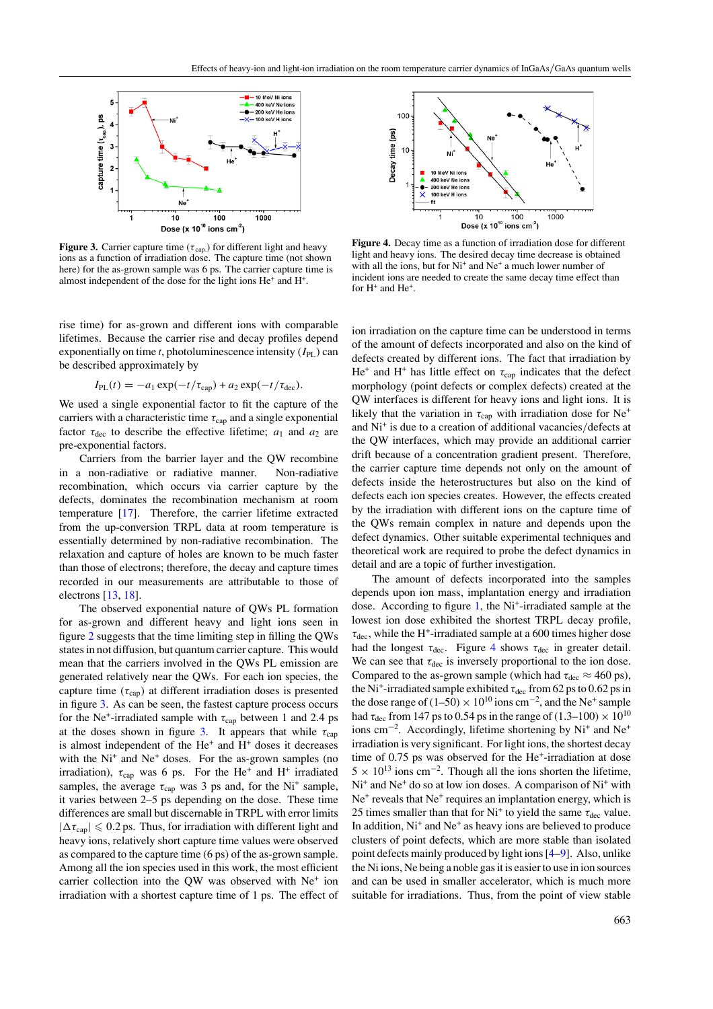<span id="page-2-0"></span>

**Figure 3.** Carrier capture time ( $\tau$ <sub>cap.</sub>) for different light and heavy ions as a function of irradiation dose. The capture time (not shown here) for the as-grown sample was 6 ps. The carrier capture time is almost independent of the dose for the light ions He<sup>+</sup> and H+.

rise time) for as-grown and different ions with comparable lifetimes. Because the carrier rise and decay profiles depend exponentially on time *t*, photoluminescence intensity  $(I_{PL})$  can be described approximately by

$$
I_{PL}(t) = -a_1 \exp(-t/\tau_{cap}) + a_2 \exp(-t/\tau_{dec}).
$$

We used a single exponential factor to fit the capture of the carriers with a characteristic time *τ*<sub>cap</sub> and a single exponential factor  $\tau_{\text{dec}}$  to describe the effective lifetime;  $a_1$  and  $a_2$  are pre-exponential factors.

Carriers from the barrier layer and the QW recombine in a non-radiative or radiative manner. Non-radiative recombination, which occurs via carrier capture by the defects, dominates the recombination mechanism at room temperature [\[17](#page-3-0)]. Therefore, the carrier lifetime extracted from the up-conversion TRPL data at room temperature is essentially determined by non-radiative recombination. The relaxation and capture of holes are known to be much faster than those of electrons; therefore, the decay and capture times recorded in our measurements are attributable to those of electrons [\[13](#page-3-0), [18\]](#page-3-0).

The observed exponential nature of QWs PL formation for as-grown and different heavy and light ions seen in figure [2](#page-1-0) suggests that the time limiting step in filling the QWs states in not diffusion, but quantum carrier capture. This would mean that the carriers involved in the QWs PL emission are generated relatively near the QWs. For each ion species, the capture time  $(\tau_{cap})$  at different irradiation doses is presented in figure 3. As can be seen, the fastest capture process occurs for the Ne<sup>+</sup>-irradiated sample with  $τ_{cap}$  between 1 and 2.4 ps at the doses shown in figure 3. It appears that while  $\tau_{\text{can}}$ is almost independent of the  $He<sup>+</sup>$  and  $H<sup>+</sup>$  doses it decreases with the Ni<sup>+</sup> and Ne<sup>+</sup> doses. For the as-grown samples (no irradiation),  $\tau_{cap}$  was 6 ps. For the He<sup>+</sup> and H<sup>+</sup> irradiated samples, the average  $\tau_{cap}$  was 3 ps and, for the Ni<sup>+</sup> sample, it varies between 2–5 ps depending on the dose. These time differences are small but discernable in TRPL with error limits  $|\Delta \tau_{cap}| \leq 0.2$  ps. Thus, for irradiation with different light and heavy ions, relatively short capture time values were observed as compared to the capture time (6 ps) of the as-grown sample. Among all the ion species used in this work, the most efficient carrier collection into the OW was observed with Ne<sup>+</sup> ion irradiation with a shortest capture time of 1 ps. The effect of



**Figure 4.** Decay time as a function of irradiation dose for different light and heavy ions. The desired decay time decrease is obtained with all the ions, but for  $Ni<sup>+</sup>$  and  $Ne<sup>+</sup>$  a much lower number of incident ions are needed to create the same decay time effect than for H<sup>+</sup> and He<sup>+</sup>.

ion irradiation on the capture time can be understood in terms of the amount of defects incorporated and also on the kind of defects created by different ions. The fact that irradiation by He<sup>+</sup> and H<sup>+</sup> has little effect on  $\tau_{cap}$  indicates that the defect morphology (point defects or complex defects) created at the QW interfaces is different for heavy ions and light ions. It is likely that the variation in  $\tau_{\text{cap}}$  with irradiation dose for Ne<sup>+</sup> and Ni+ is due to a creation of additional vacancies*/*defects at the QW interfaces, which may provide an additional carrier drift because of a concentration gradient present. Therefore, the carrier capture time depends not only on the amount of defects inside the heterostructures but also on the kind of defects each ion species creates. However, the effects created by the irradiation with different ions on the capture time of the QWs remain complex in nature and depends upon the defect dynamics. Other suitable experimental techniques and theoretical work are required to probe the defect dynamics in detail and are a topic of further investigation.

The amount of defects incorporated into the samples depends upon ion mass, implantation energy and irradiation dose. According to figure [1,](#page-1-0) the Ni<sup>+</sup>-irradiated sample at the lowest ion dose exhibited the shortest TRPL decay profile, *τ*dec, while the H+-irradiated sample at a 600 times higher dose had the longest  $\tau_{\text{dec}}$ . Figure 4 shows  $\tau_{\text{dec}}$  in greater detail. We can see that  $\tau_{\text{dec}}$  is inversely proportional to the ion dose. Compared to the as-grown sample (which had  $\tau_{\text{dec}} \approx 460 \text{ ps}$ ), the Ni<sup>+</sup>-irradiated sample exhibited  $\tau_{\text{dec}}$  from 62 ps to 0.62 ps in the dose range of  $(1-50) \times 10^{10}$  ions cm<sup>-2</sup>, and the Ne<sup>+</sup> sample had  $\tau_{\text{dec}}$  from 147 ps to 0.54 ps in the range of (1.3–100)  $\times 10^{10}$ ions cm<sup>-2</sup>. Accordingly, lifetime shortening by Ni<sup>+</sup> and Ne<sup>+</sup> irradiation is very significant. For light ions, the shortest decay time of 0.75 ps was observed for the He<sup>+</sup>-irradiation at dose  $5 \times 10^{13}$  ions cm<sup>-2</sup>. Though all the ions shorten the lifetime, Ni<sup>+</sup> and Ne<sup>+</sup> do so at low ion doses. A comparison of Ni<sup>+</sup> with  $Ne<sup>+</sup>$  reveals that  $Ne<sup>+</sup>$  requires an implantation energy, which is 25 times smaller than that for Ni<sup>+</sup> to yield the same  $\tau_{\text{dec}}$  value. In addition,  $Ni<sup>+</sup>$  and  $Ne<sup>+</sup>$  as heavy ions are believed to produce clusters of point defects, which are more stable than isolated point defects mainly produced by light ions [\[4–9](#page-3-0)]. Also, unlike the Ni ions, Ne being a noble gas it is easier to use in ion sources and can be used in smaller accelerator, which is much more suitable for irradiations. Thus, from the point of view stable